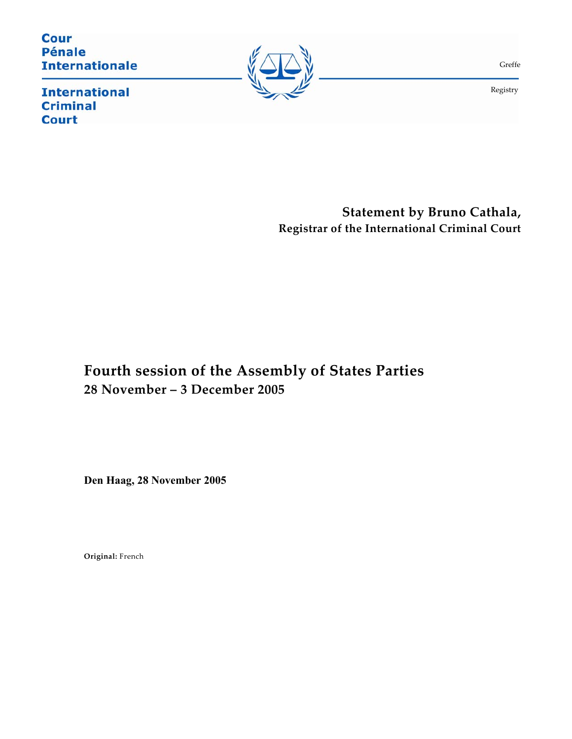**Cour Pénale Internationale** 



Greffe

Registry

**International Criminal Court** 

**Statement by Bruno Cathala, Registrar of the International Criminal Court** 

## **Fourth session of the Assembly of States Parties 28 November – 3 December 2005**

**Den Haag, 28 November 2005**

**Original:** French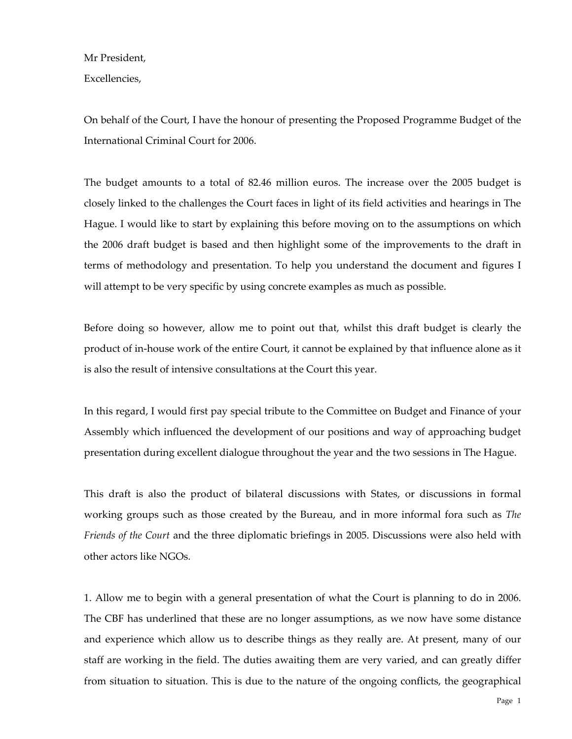Mr President,

Excellencies,

On behalf of the Court, I have the honour of presenting the Proposed Programme Budget of the International Criminal Court for 2006.

The budget amounts to a total of 82.46 million euros. The increase over the 2005 budget is closely linked to the challenges the Court faces in light of its field activities and hearings in The Hague. I would like to start by explaining this before moving on to the assumptions on which the 2006 draft budget is based and then highlight some of the improvements to the draft in terms of methodology and presentation. To help you understand the document and figures I will attempt to be very specific by using concrete examples as much as possible.

Before doing so however, allow me to point out that, whilst this draft budget is clearly the product of in-house work of the entire Court, it cannot be explained by that influence alone as it is also the result of intensive consultations at the Court this year.

In this regard, I would first pay special tribute to the Committee on Budget and Finance of your Assembly which influenced the development of our positions and way of approaching budget presentation during excellent dialogue throughout the year and the two sessions in The Hague.

This draft is also the product of bilateral discussions with States, or discussions in formal working groups such as those created by the Bureau, and in more informal fora such as *The Friends of the Court* and the three diplomatic briefings in 2005. Discussions were also held with other actors like NGOs.

1. Allow me to begin with a general presentation of what the Court is planning to do in 2006. The CBF has underlined that these are no longer assumptions, as we now have some distance and experience which allow us to describe things as they really are. At present, many of our staff are working in the field. The duties awaiting them are very varied, and can greatly differ from situation to situation. This is due to the nature of the ongoing conflicts, the geographical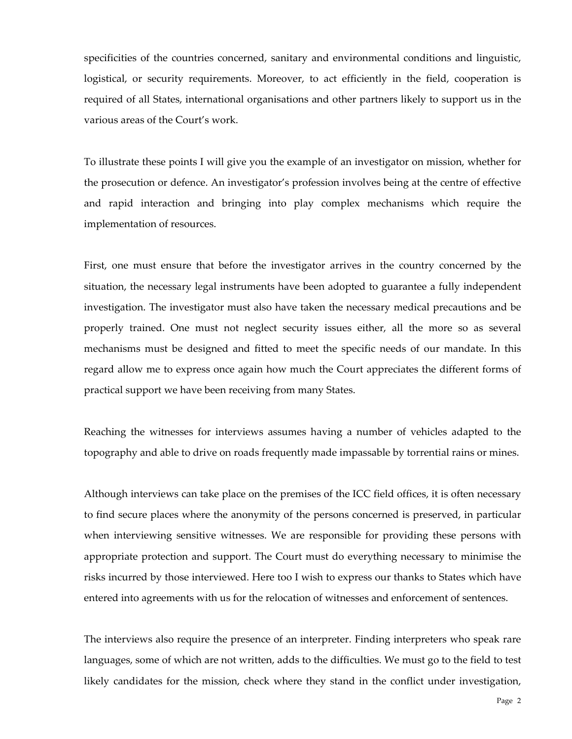specificities of the countries concerned, sanitary and environmental conditions and linguistic, logistical, or security requirements. Moreover, to act efficiently in the field, cooperation is required of all States, international organisations and other partners likely to support us in the various areas of the Court's work.

To illustrate these points I will give you the example of an investigator on mission, whether for the prosecution or defence. An investigator's profession involves being at the centre of effective and rapid interaction and bringing into play complex mechanisms which require the implementation of resources.

First, one must ensure that before the investigator arrives in the country concerned by the situation, the necessary legal instruments have been adopted to guarantee a fully independent investigation. The investigator must also have taken the necessary medical precautions and be properly trained. One must not neglect security issues either, all the more so as several mechanisms must be designed and fitted to meet the specific needs of our mandate. In this regard allow me to express once again how much the Court appreciates the different forms of practical support we have been receiving from many States.

Reaching the witnesses for interviews assumes having a number of vehicles adapted to the topography and able to drive on roads frequently made impassable by torrential rains or mines.

Although interviews can take place on the premises of the ICC field offices, it is often necessary to find secure places where the anonymity of the persons concerned is preserved, in particular when interviewing sensitive witnesses. We are responsible for providing these persons with appropriate protection and support. The Court must do everything necessary to minimise the risks incurred by those interviewed. Here too I wish to express our thanks to States which have entered into agreements with us for the relocation of witnesses and enforcement of sentences.

The interviews also require the presence of an interpreter. Finding interpreters who speak rare languages, some of which are not written, adds to the difficulties. We must go to the field to test likely candidates for the mission, check where they stand in the conflict under investigation,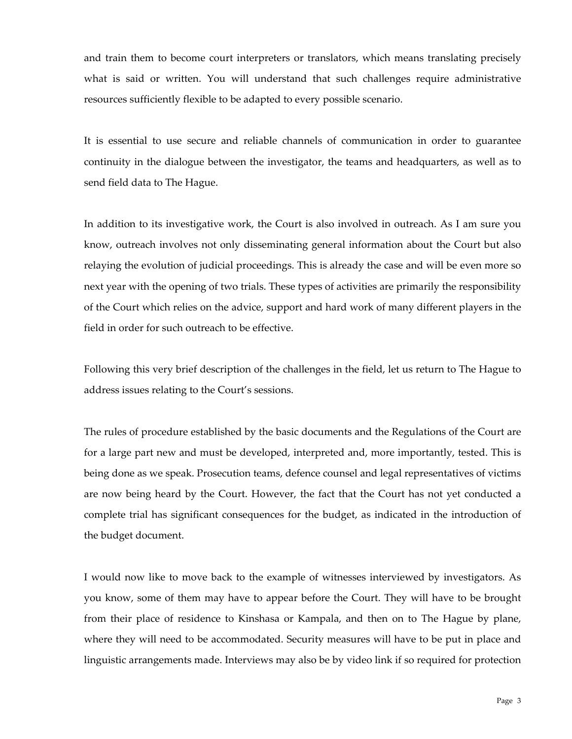and train them to become court interpreters or translators, which means translating precisely what is said or written. You will understand that such challenges require administrative resources sufficiently flexible to be adapted to every possible scenario.

It is essential to use secure and reliable channels of communication in order to guarantee continuity in the dialogue between the investigator, the teams and headquarters, as well as to send field data to The Hague.

In addition to its investigative work, the Court is also involved in outreach. As I am sure you know, outreach involves not only disseminating general information about the Court but also relaying the evolution of judicial proceedings. This is already the case and will be even more so next year with the opening of two trials. These types of activities are primarily the responsibility of the Court which relies on the advice, support and hard work of many different players in the field in order for such outreach to be effective.

Following this very brief description of the challenges in the field, let us return to The Hague to address issues relating to the Court's sessions.

The rules of procedure established by the basic documents and the Regulations of the Court are for a large part new and must be developed, interpreted and, more importantly, tested. This is being done as we speak. Prosecution teams, defence counsel and legal representatives of victims are now being heard by the Court. However, the fact that the Court has not yet conducted a complete trial has significant consequences for the budget, as indicated in the introduction of the budget document.

I would now like to move back to the example of witnesses interviewed by investigators. As you know, some of them may have to appear before the Court. They will have to be brought from their place of residence to Kinshasa or Kampala, and then on to The Hague by plane, where they will need to be accommodated. Security measures will have to be put in place and linguistic arrangements made. Interviews may also be by video link if so required for protection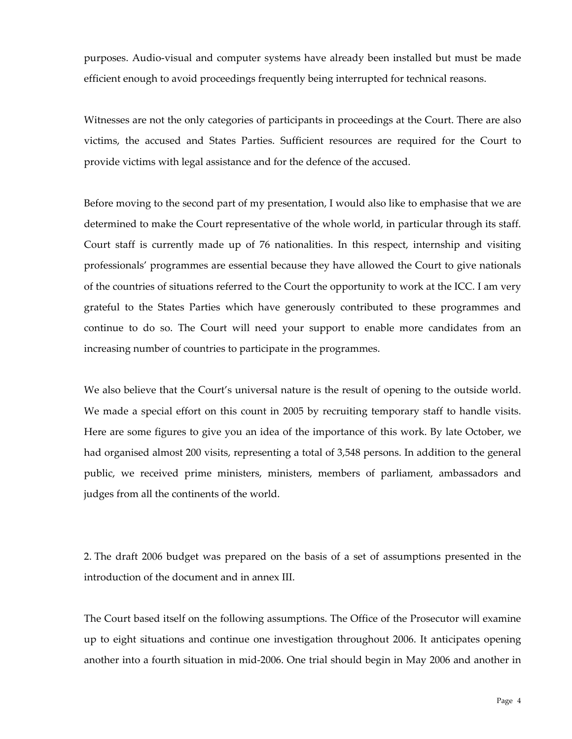purposes. Audio-visual and computer systems have already been installed but must be made efficient enough to avoid proceedings frequently being interrupted for technical reasons.

Witnesses are not the only categories of participants in proceedings at the Court. There are also victims, the accused and States Parties. Sufficient resources are required for the Court to provide victims with legal assistance and for the defence of the accused.

Before moving to the second part of my presentation, I would also like to emphasise that we are determined to make the Court representative of the whole world, in particular through its staff. Court staff is currently made up of 76 nationalities. In this respect, internship and visiting professionals' programmes are essential because they have allowed the Court to give nationals of the countries of situations referred to the Court the opportunity to work at the ICC. I am very grateful to the States Parties which have generously contributed to these programmes and continue to do so. The Court will need your support to enable more candidates from an increasing number of countries to participate in the programmes.

We also believe that the Court's universal nature is the result of opening to the outside world. We made a special effort on this count in 2005 by recruiting temporary staff to handle visits. Here are some figures to give you an idea of the importance of this work. By late October, we had organised almost 200 visits, representing a total of 3,548 persons. In addition to the general public, we received prime ministers, ministers, members of parliament, ambassadors and judges from all the continents of the world.

2. The draft 2006 budget was prepared on the basis of a set of assumptions presented in the introduction of the document and in annex III.

The Court based itself on the following assumptions. The Office of the Prosecutor will examine up to eight situations and continue one investigation throughout 2006. It anticipates opening another into a fourth situation in mid-2006. One trial should begin in May 2006 and another in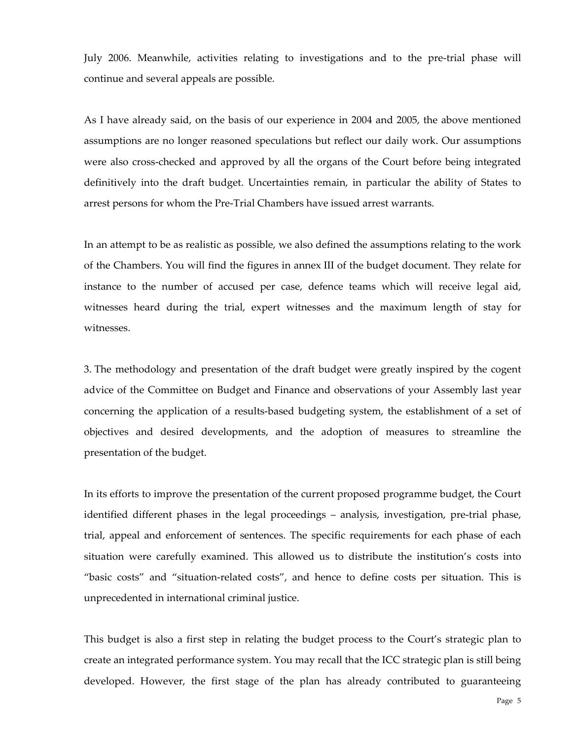July 2006. Meanwhile, activities relating to investigations and to the pre-trial phase will continue and several appeals are possible.

As I have already said, on the basis of our experience in 2004 and 2005, the above mentioned assumptions are no longer reasoned speculations but reflect our daily work. Our assumptions were also cross-checked and approved by all the organs of the Court before being integrated definitively into the draft budget. Uncertainties remain, in particular the ability of States to arrest persons for whom the Pre-Trial Chambers have issued arrest warrants.

In an attempt to be as realistic as possible, we also defined the assumptions relating to the work of the Chambers. You will find the figures in annex III of the budget document. They relate for instance to the number of accused per case, defence teams which will receive legal aid, witnesses heard during the trial, expert witnesses and the maximum length of stay for witnesses.

3. The methodology and presentation of the draft budget were greatly inspired by the cogent advice of the Committee on Budget and Finance and observations of your Assembly last year concerning the application of a results-based budgeting system, the establishment of a set of objectives and desired developments, and the adoption of measures to streamline the presentation of the budget.

In its efforts to improve the presentation of the current proposed programme budget, the Court identified different phases in the legal proceedings – analysis, investigation, pre-trial phase, trial, appeal and enforcement of sentences. The specific requirements for each phase of each situation were carefully examined. This allowed us to distribute the institution's costs into "basic costs" and "situation-related costs", and hence to define costs per situation. This is unprecedented in international criminal justice.

This budget is also a first step in relating the budget process to the Court's strategic plan to create an integrated performance system. You may recall that the ICC strategic plan is still being developed. However, the first stage of the plan has already contributed to guaranteeing